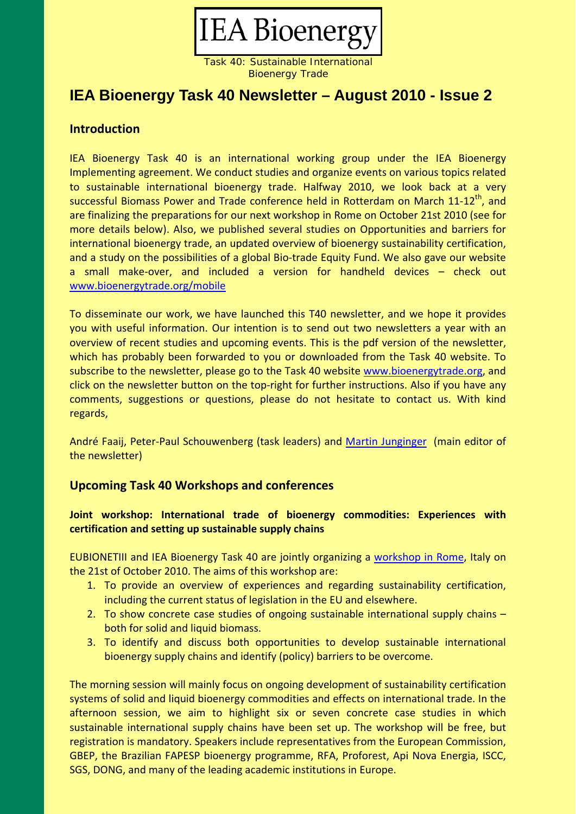

Bioenergy Trade

# **IEA Bioenergy Task 40 Newsletter – August 2010 - Issue 2**

## **Introduction**

IEA Bioenergy Task 40 is an international working group under the IEA Bioenergy Implementing agreement. We conduct studies and organize events on various topics related to sustainable international bioenergy trade. Halfway 2010, we look back at a very successful Biomass Power and Trade conference held in Rotterdam on March 11-12<sup>th</sup>, and are finalizing the preparations for our next workshop in Rome on October 21st 2010 (see for more details below). Also, we published several studies on Opportunities and barriers for international bioenergy trade, an updated overview of bioenergy sustainability certification, and a study on the possibilities of a global Bio-trade Equity Fund. We also gave our website a small make‐over, and included a version for handheld devices – check out www.bioenergytrade.org/mobile

To disseminate our work, we have launched this T40 newsletter, and we hope it provides you with useful information. Our intention is to send out two newsletters a year with an overview of recent studies and upcoming events. This is the pdf version of the newsletter, which has probably been forwarded to you or downloaded from the Task 40 website. To subscribe to the newsletter, please go to the Task 40 website www.bioenergytrade.org, and click on the newsletter button on the top‐right for further instructions. Also if you have any comments, suggestions or questions, please do not hesitate to contact us. With kind regards,

André Faaij, Peter‐Paul Schouwenberg (task leaders) and Martin [Junginger](mailto:h.m.junginger@uu.nl) (main editor of the newsletter)

### **Upcoming Task 40 Workshops and conferences**

### **Joint workshop: International trade of bioenergy commodities: Experiences with certification and setting up sustainable supply chains**

EUBIONETIII and IEA Bioenergy Task 40 are jointly organizing a [workshop](http://www.bioenergytrade.org/upcomingactivities/rome2010.html) in Rome, Italy on the 21st of October 2010. The aims of this workshop are:

- 1. To provide an overview of experiences and regarding sustainability certification, including the current status of legislation in the EU and elsewhere.
- 2. To show concrete case studies of ongoing sustainable international supply chains both for solid and liquid biomass.
- 3. To identify and discuss both opportunities to develop sustainable international bioenergy supply chains and identify (policy) barriers to be overcome.

The morning session will mainly focus on ongoing development of sustainability certification systems of solid and liquid bioenergy commodities and effects on international trade. In the afternoon session, we aim to highlight six or seven concrete case studies in which sustainable international supply chains have been set up. The workshop will be free, but registration is mandatory. Speakers include representatives from the European Commission, GBEP, the Brazilian FAPESP bioenergy programme, RFA, Proforest, Api Nova Energia, ISCC, SGS, DONG, and many of the leading academic institutions in Europe.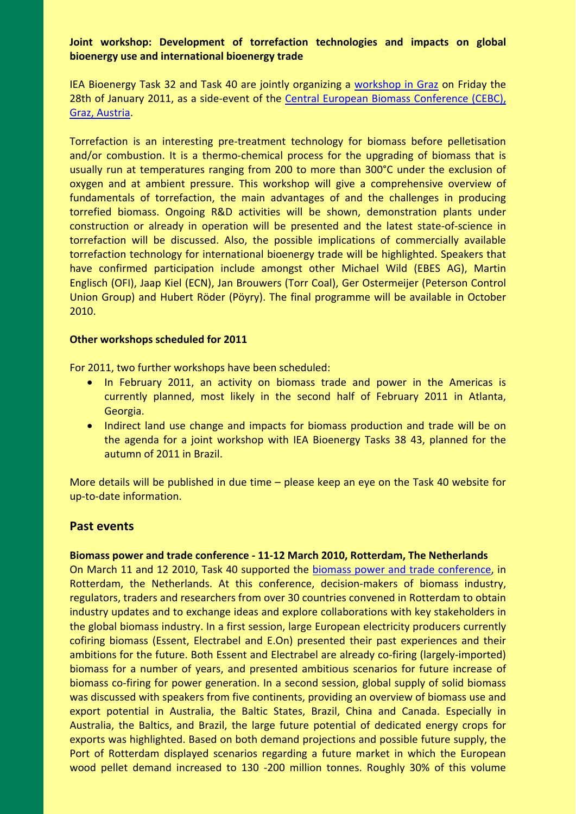### **Joint workshop: Development of torrefaction technologies and impacts on global bioenergy use and international bioenergy trade**

IEA Bioenergy Task 32 and Task 40 are jointly organizing a [workshop](http://www.bioenergytrade.org/upcomingactivities/graz2011.html) in Graz on Friday the 28th of January 2011, as a side-event of the Central European Biomass [Conference](http://www.biomasseverband.at/biomasse?cid=41143) (CEBC), Graz, Austria.

Torrefaction is an interesting pre‐treatment technology for biomass before pelletisation and/or combustion. It is a thermo-chemical process for the upgrading of biomass that is usually run at temperatures ranging from 200 to more than 300°C under the exclusion of oxygen and at ambient pressure. This workshop will give a comprehensive overview of fundamentals of torrefaction, the main advantages of and the challenges in producing torrefied biomass. Ongoing R&D activities will be shown, demonstration plants under construction or already in operation will be presented and the latest state‐of‐science in torrefaction will be discussed. Also, the possible implications of commercially available torrefaction technology for international bioenergy trade will be highlighted. Speakers that have confirmed participation include amongst other Michael Wild (EBES AG), Martin Englisch (OFI), Jaap Kiel (ECN), Jan Brouwers (Torr Coal), Ger Ostermeijer (Peterson Control Union Group) and Hubert Röder (Pöyry). The final programme will be available in October 2010.

#### **Other workshops scheduled for 2011**

For 2011, two further workshops have been scheduled:

- In February 2011, an activity on biomass trade and power in the Americas is currently planned, most likely in the second half of February 2011 in Atlanta, Georgia.
- Indirect land use change and impacts for biomass production and trade will be on the agenda for a joint workshop with IEA Bioenergy Tasks 38 43, planned for the autumn of 2011 in Brazil.

More details will be published in due time – please keep an eye on the Task 40 website for up‐to‐date information.

#### **Past events**

#### **Biomass power and trade conference ‐ 11‐12 March 2010, Rotterdam, The Netherlands**

On March 11 and 12 2010, Task 40 supported the biomass power and trade [conference,](http://www.bioenergytrade.org/pastevents/055f1e9dcb0a86701.html) in Rotterdam, the Netherlands. At this conference, decision-makers of biomass industry, regulators, traders and researchers from over 30 countries convened in Rotterdam to obtain industry updates and to exchange ideas and explore collaborations with key stakeholders in the global biomass industry. In a first session, large European electricity producers currently cofiring biomass (Essent, Electrabel and E.On) presented their past experiences and their ambitions for the future. Both Essent and Electrabel are already co-firing (largely-imported) biomass for a number of years, and presented ambitious scenarios for future increase of biomass co-firing for power generation. In a second session, global supply of solid biomass was discussed with speakers from five continents, providing an overview of biomass use and export potential in Australia, the Baltic States, Brazil, China and Canada. Especially in Australia, the Baltics, and Brazil, the large future potential of dedicated energy crops for exports was highlighted. Based on both demand projections and possible future supply, the Port of Rotterdam displayed scenarios regarding a future market in which the European wood pellet demand increased to 130 -200 million tonnes. Roughly 30% of this volume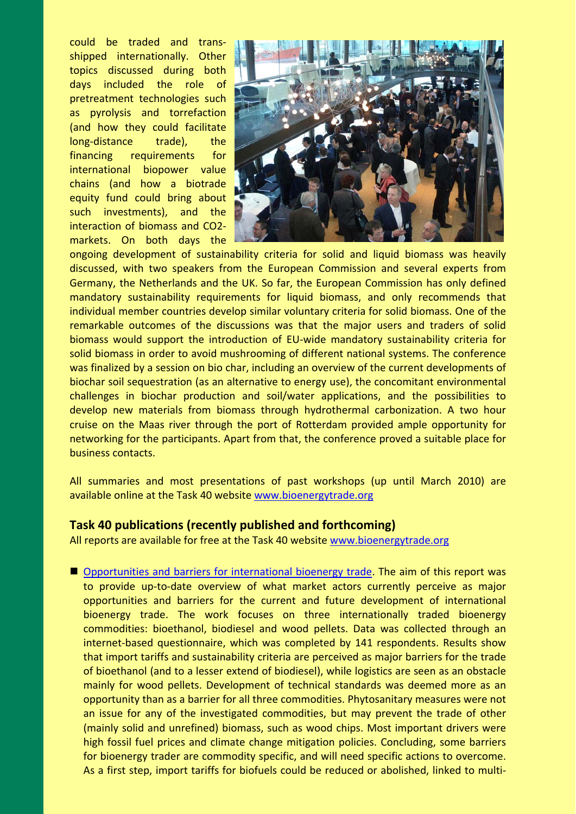could be traded and trans‐ shipped internationally. Other topics discussed during both days included the role of pretreatment technologies such as pyrolysis and torrefaction (and how they could facilitate long-distance trade), the financing requirements for international biopower value chains (and how a biotrade equity fund could bring about such investments), and the interaction of biomass and CO2‐ markets. On both days the



ongoing development of sustainability criteria for solid and liquid biomass was heavily discussed, with two speakers from the European Commission and several experts from Germany, the Netherlands and the UK. So far, the European Commission has only defined mandatory sustainability requirements for liquid biomass, and only recommends that individual member countries develop similar voluntary criteria for solid biomass. One of the remarkable outcomes of the discussions was that the major users and traders of solid biomass would support the introduction of EU‐wide mandatory sustainability criteria for solid biomass in order to avoid mushrooming of different national systems. The conference was finalized by a session on bio char, including an overview of the current developments of biochar soil sequestration (as an alternative to energy use), the concomitant environmental challenges in biochar production and soil/water applications, and the possibilities to develop new materials from biomass through hydrothermal carbonization. A two hour cruise on the Maas river through the port of Rotterdam provided ample opportunity for networking for the participants. Apart from that, the conference proved a suitable place for business contacts.

All summaries and most presentations of past workshops (up until March 2010) are available online at the Task 40 website www.bioenergytrade.org

### **Task 40 publications (recently published and forthcoming)**

All reports are available for free at the Task 40 website www.bioenergytrade.org

■ [Opportunities](http://www.bioenergytrade.org/downloads/opportunitiesandbarriersforinternationalbioene.pdf) and barriers for international bioenergy trade. The aim of this report was to provide up-to-date overview of what market actors currently perceive as major opportunities and barriers for the current and future development of international bioenergy trade. The work focuses on three internationally traded bioenergy commodities: bioethanol, biodiesel and wood pellets. Data was collected through an internet-based questionnaire, which was completed by 141 respondents. Results show that import tariffs and sustainability criteria are perceived as major barriers for the trade of bioethanol (and to a lesser extend of biodiesel), while logistics are seen as an obstacle mainly for wood pellets. Development of technical standards was deemed more as an opportunity than as a barrier for all three commodities. Phytosanitary measures were not an issue for any of the investigated commodities, but may prevent the trade of other (mainly solid and unrefined) biomass, such as wood chips. Most important drivers were high fossil fuel prices and climate change mitigation policies. Concluding, some barriers for bioenergy trader are commodity specific, and will need specific actions to overcome. As a first step, import tariffs for biofuels could be reduced or abolished, linked to multi‐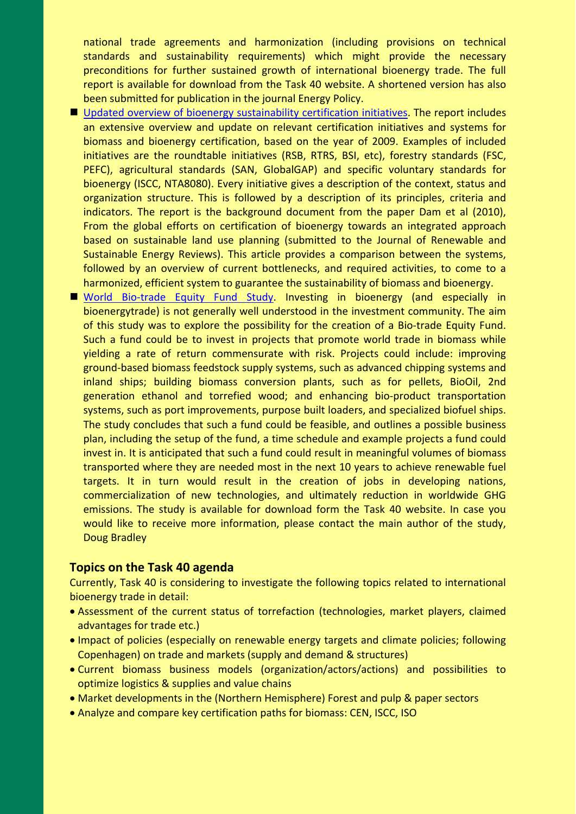national trade agreements and harmonization (including provisions on technical standards and sustainability requirements) which might provide the necessary preconditions for further sustained growth of international bioenergy trade. The full report is available for download from the Task 40 website. A shortened version has also been submitted for publication in the journal Energy Policy.

- Updated overview of bioenergy [sustainability](http://www.bioenergytrade.org/downloads/overviewcertificationsystemsfinalapril2010.pdf) certification initiatives. The report includes an extensive overview and update on relevant certification initiatives and systems for biomass and bioenergy certification, based on the year of 2009. Examples of included initiatives are the roundtable initiatives (RSB, RTRS, BSI, etc), forestry standards (FSC, PEFC), agricultural standards (SAN, GlobalGAP) and specific voluntary standards for bioenergy (ISCC, NTA8080). Every initiative gives a description of the context, status and organization structure. This is followed by a description of its principles, criteria and indicators. The report is the background document from the paper Dam et al (2010), From the global efforts on certification of bioenergy towards an integrated approach based on sustainable land use planning (submitted to the Journal of Renewable and Sustainable Energy Reviews). This article provides a comparison between the systems, followed by an overview of current bottlenecks, and required activities, to come to a harmonized, efficient system to guarantee the sustainability of biomass and bioenergy.
- World Bio-trade Equity Fund [Study.](http://www.bioenergytrade.org/downloads/biotradeequityfundfinalreport.pdf) Investing in bioenergy (and especially in bioenergytrade) is not generally well understood in the investment community. The aim of this study was to explore the possibility for the creation of a Bio‐trade Equity Fund. Such a fund could be to invest in projects that promote world trade in biomass while yielding a rate of return commensurate with risk. Projects could include: improving ground‐based biomass feedstock supply systems, such as advanced chipping systems and inland ships; building biomass conversion plants, such as for pellets, BioOil, 2nd generation ethanol and torrefied wood; and enhancing bio‐product transportation systems, such as port improvements, purpose built loaders, and specialized biofuel ships. The study concludes that such a fund could be feasible, and outlines a possible business plan, including the setup of the fund, a time schedule and example projects a fund could invest in. It is anticipated that such a fund could result in meaningful volumes of biomass transported where they are needed most in the next 10 years to achieve renewable fuel targets. It in turn would result in the creation of jobs in developing nations, commercialization of new technologies, and ultimately reduction in worldwide GHG emissions. The study is available for download form the Task 40 website. In case you would like to receive more information, please contact the main author of the study, Doug Bradley

#### **Topics on the Task 40 agenda**

Currently, Task 40 is considering to investigate the following topics related to international bioenergy trade in detail:

- Assessment of the current status of torrefaction (technologies, market players, claimed advantages for trade etc.)
- Impact of policies (especially on renewable energy targets and climate policies; following Copenhagen) on trade and markets (supply and demand & structures)
- Current biomass business models (organization/actors/actions) and possibilities to optimize logistics & supplies and value chains
- Market developments in the (Northern Hemisphere) Forest and pulp & paper sectors
- Analyze and compare key certification paths for biomass: CEN, ISCC, ISO